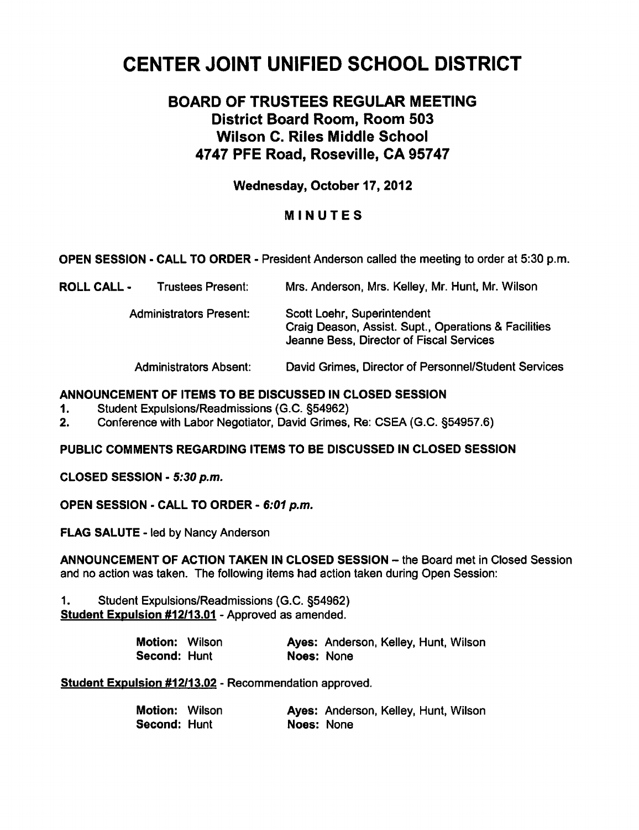# CENTER JOINT UNIFIED SCHOOL DISTRICT

# BOARD OF TRUSTEES REGULAR MEETING District Board Room, Room 503 Wilson C. Riles Middle School 4747 PFE Road, Roseville, CA 95747

Wednesday, October 17, 2012

# MINUTES

OPEN SESSION - CALL TO ORDER - President Anderson called the meeting to order at 5:30 p.m.

| ROLL CALL - | <b>Trustees Present:</b>       | Mrs. Anderson, Mrs. Kelley, Mr. Hunt, Mr. Wilson                                                                                |
|-------------|--------------------------------|---------------------------------------------------------------------------------------------------------------------------------|
|             | <b>Administrators Present:</b> | Scott Loehr, Superintendent<br>Craig Deason, Assist. Supt., Operations & Facilities<br>Jeanne Bess, Director of Fiscal Services |
|             | <b>Administrators Absent:</b>  | David Grimes, Director of Personnel/Student Services                                                                            |

#### ANNOUNCEMENT OF ITEMS TO BE DISCUSSED IN CLOSED SESSION

- 1. Student Expulsions/Readmissions (G.C. §54962)
- 2. Conference with Labor Negotiator, David Grimes, Re: CSEA (G.C. §54957.6)

PUBLIC COMMENTS REGARDING ITEMS TO BE DISCUSSED IN CLOSED SESSION

CLOSED SESSION - 5:30 p.m.

OPEN SESSION - CALL TO ORDER - 6:01 p.m.

FLAG SALUTE - led by Nancy Anderson

ANNOUNCEMENT OF ACTION TAKEN IN CLOSED SESSION - the Board met in Closed Session and no action was taken. The following items had action taken during Open Session:

1. Student Expulsions/Readmissions (G.C. §54962) Student Expulsion #12/13.01 - Approved as amended.

| <b>Motion: Wilson</b> |            | Ayes: Anderson, Kelley, Hunt, Wilson |  |  |
|-----------------------|------------|--------------------------------------|--|--|
| Second: Hunt          | Noes: None |                                      |  |  |

Student Expulsion #12/13.02 - Recommendation approved.

| Motion: Wilson       |            | Ayes: Anderson, Kelley, Hunt, Wilson |  |  |
|----------------------|------------|--------------------------------------|--|--|
| <b>Second: Hu</b> nt | Noes: None |                                      |  |  |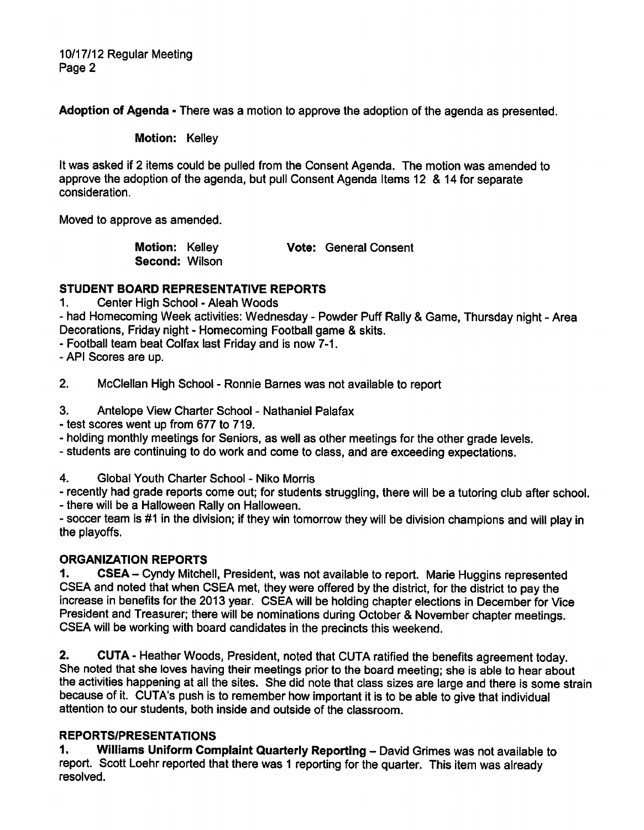10/17/12 Regular Meeting Page 2

Adoption of Agenda - There was a motion to approve the adoption of the agenda as presented.

Motion: Kelley

It was asked if 2 items could be pulled from the Consent Agenda. The motion was amended to approve the adoption of the agenda, but pull Consent Agenda Items 12 & 14 for separate consideration.

Moved to approve as amended.

Motion: Kelley **Vote: General Consent** Second: Wilson

# STUDENT BOARD REPRESENTATIVE REPORTS

1. Center High School - Aleah Woods

- had Homecoming Week activities: Wednesday - Powder Puff Rally & Game, Thursday night - Area Decorations, Friday night - Homecoming Football game & skits.

Football team beat Colfax last Friday and is now 7-1.

API Scores are up.

2. McClellan High School - Ronnie Barnes was not available to report

3. Antelope View Charter School - Nathaniel Palafax

- test scores went up from 677 to 719.

holding monthly meetings for Seniors, as well as other meetings for the other grade levels.

students are continuing to do work and come to class, and are exceeding expectations.

4. Global Youth Charter School - Niko Morris

recently had grade reports come out; for students struggling, there will be a tutoring club after school.

- there will be a Halloween Rally on Halloween.

soccer team is #1 in the division; if they win tomorrow they will be division champions and will play in the playoffs.

# ORGANIZATION REPORTS

1. CSEA- Cyndy Mitchell, President, was not available to report. Marie Huggins represented CSEA and noted that when CSEA met, they were offered by the district, for the district to pay the increase in benefits for the 2013 year. CSEA will be holding chapter elections in December for Vice President and Treasurer; there will be nominations during October & November chapter meetings. CSEA will be working with board candidates in the precincts this weekend.

2. CUTA - Heather Woods, President, noted that CUTA ratified the benefits agreement today. She noted that she loves having their meetings prior to the board meeting; she is able to hear about the activities happening at all the sites. She did note that class sizes are large and there is some strain because of it. CUTA's push is to remember how important it is to be able to give that individual attention to our students, both inside and outside of the classroom.

# REPORTS/PRESENTATIONS

1. Williams Uniform Complaint Quarterly Reporting - David Grimes was not available to report. Scott Loehr reported that there was 1 reporting for the quarter. This item was already resolved.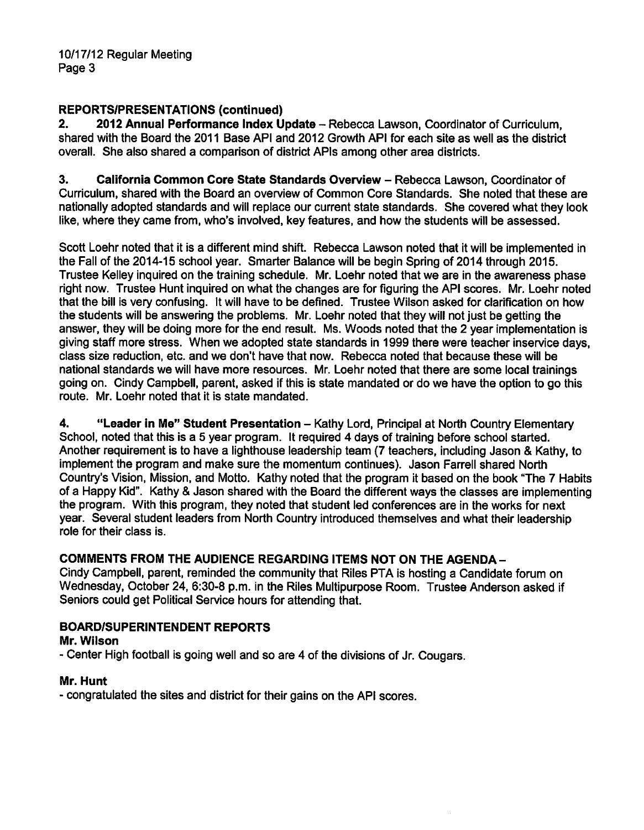# REPORTS/PRESENTATIONS (continued)

2. 2012 Annual Performance Index Update - Rebecca Lawson, Coordinator of Curriculum, shared with the Board the 2011 Base API and 2012 Growth API for each site as well as the district overall. She also shared a comparison of district APIs among other area districts.

3. California Common Core State Standards Overview - Rebecca Lawson, Coordinator of Curriculum, shared with the Board an overview of Common Core Standards. She noted that these are nationally adopted standards and will replace our current state standards. She covered what they look like, where they came from, who's involved, key features, and how the students will be assessed.

Scott Loehr noted that it is a different mind shift. Rebecca Lawson noted that it will be implemented in the Fall of the 2014-15 school year. Smarter Balance will be begin Spring of 2014 through 2015. Trustee Kelley inquired on the training schedule. Mr. Loehr noted that we are in the awareness phase right now. Trustee Hunt inquired on what the changes are for figuring the API scores. Mr. Loehr noted that the bill is very confusing. It will have to be defined. Trustee Wilson asked for clarification on how the students will be answering the problems. Mr. Loehr noted that they will not just be getting the answer, they will be doing more for the end result. Ms. Woods noted that the 2 year implementation is giving staff more stress. When we adopted state standards in 1999 there were teacher inservice days, class size reduction, etc. and we don't have that now. Rebecca noted that because these will be national standards we will have more resources. Mr. Loehr noted that there are some local trainings going on. Cindy Campbell, parent, asked if this is state mandated or do we have the option to go this route. Mr. Loehr noted that it is state mandated.

4. "Leader in Me" Student Presentation - Kathy Lord, Principal at North Country Elementary School, noted that this is a 5 year program. It required 4 days of training before school started. Another requirement is to have a lighthouse leadership team (7 teachers, including Jason & Kathy, to implement the program and make sure the momentum continues). Jason Farrell shared North Country's Vision, Mission, and Motto. Kathy noted that the program it based on the book "The 7 Habits of a Happy Kid". Kathy & Jason shared with the Board the different ways the classes are implementing the program. With this program, they noted that student led conferences are in the works for next year. Several student leaders from North Country introduced themselves and what their leadership role for their class is.

# COMMENTS FROM THE AUDIENCE REGARDING ITEMS NOT ON THE AGENDA-

Cindy Campbell, parent, reminded the community that Riles PTA is hosting a Candidate forum on Wednesday, October 24, 6:30-8 p.m. in the Riles Multipurpose Room. Trustee Anderson asked if Seniors could get Political Service hours for attending that.

# BOARD/SUPERINTENDENT REPORTS

# Mr. Wilson

Center High football is going well and so are 4 of the divisions of Jr. Cougars.

# Mr. Hunt

congratulated the sites and district for their gains on the API scores.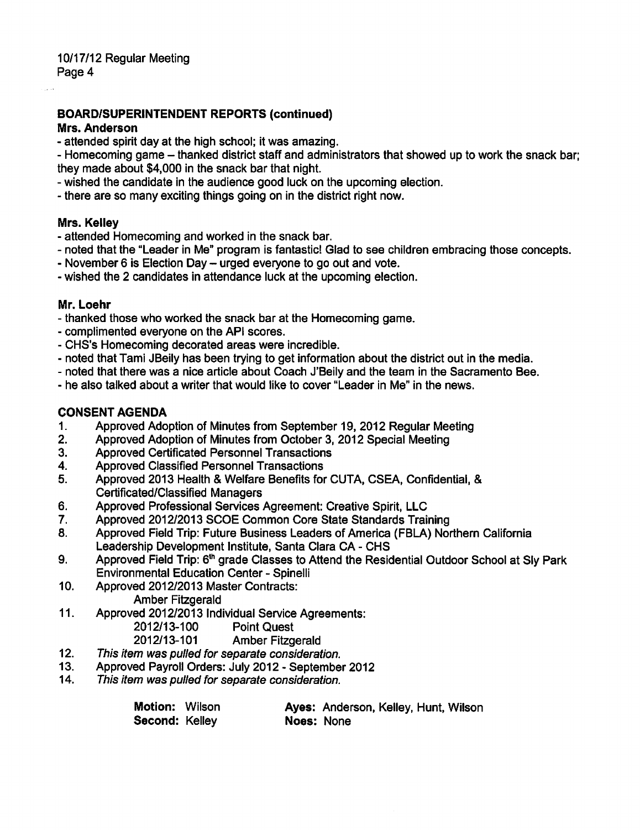#### BOARD/SUPERINTENDENT REPORTS (continued)

#### Mrs. Anderson

- attended spirit day at the high school; it was amazing.

- Homecoming game - thanked district staff and administrators that showed up to work the snack bar; they made about \$4,000 in the snack bar that night.

wished the candidate in the audience good luck on the upcoming election.

there are so many exciting things going on in the district right now.

#### Mrs. Kelley

- attended Homecoming and worked in the snack bar.
- noted that the "Leader in Me" program is fantastic! Glad to see children embracing those concepts.
- November 6 is Election Day urged everyone to go out and vote.
- wished the 2 candidates in attendance luck at the upcoming election.

#### Mr. Loehr

- thanked those who worked the snack bar at the Homecoming game.
- complimented everyone on the API scores.
- CHS's Homecoming decorated areas were incredible.
- noted that Tami JBeily has been trying to get information about the district out in the media.
- noted that there was a nice article about Coach J'Beily and the team in the Sacramento Bee.
- he also talked about a writer that would like to cover "Leader in Me" in the news.

#### CONSENT AGENDA

- 1. Approved Adoption of Minutes from September 19, 2012 Regular Meeting
- 2. Approved Adoption of Minutes from October 3, 2012 Special Meeting
- 3. Approved Certificated Personnel Transactions
- 4. Approved Classified Personnel Transactions
- 5. Approved 2013 Health & Welfare Benefits for CUTA, CSEA, Confidential, & Certificated/Classified Managers
- 6. Approved Professional Services Agreement: Creative Spirit, LLC
- 7. Approved 2012/2013 SCOE Common Core State Standards Training
- 8. Approved Field Trip: Future Business Leaders of America (FBLA) Northern California Leadership Development Institute, Santa Clara CA - CHS
- 9. Approved Field Trip: 6<sup>th</sup> grade Classes to Attend the Residential Outdoor School at Sly Park Environmental Education Center - Spinelli
- 10. Approved 2012/2013 Master Contracts:
	- Amber Fitzgerald
- 11. Approved 2012/2013 Individual Service Agreements: 2012/13-100 Point Quest
	- 2012/13-101 Amber Fitzgerald
- 12. This item was pulled for separate consideration.
- 13. Approved Payroll Orders: July 2012 September 2012
- 14. This item was pulled for separate consideration.

| <b>Motion: Wilson</b> |            | Ayes: Anderson, Kelley, Hunt, Wilson |  |  |
|-----------------------|------------|--------------------------------------|--|--|
| Second: Kelley        | Noes: None |                                      |  |  |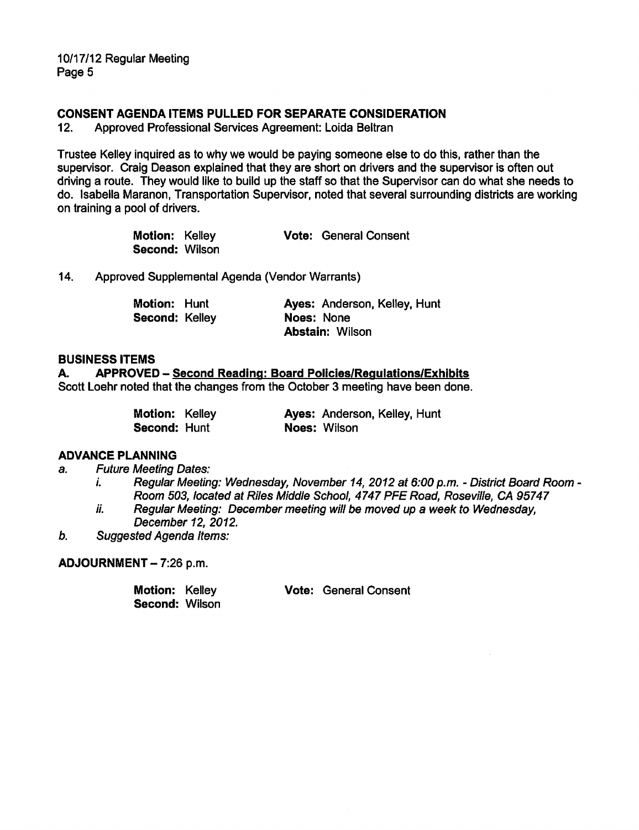10/17/12 Regular Meeting Page 5

#### CONSENT AGENDA ITEMS PULLED FOR SEPARATE CONSIDERATION

12. Approved Professional Services Agreement: Loida Beltran

Trustee Kelley inquired as to why we would be paying someone else to do this, rather than the supervisor. Craig Deason explained that they are short on drivers and the supervisor is often out driving a route. They would like to build up the staff so that the Supervisor can do what she needs to do. Isabella Maranon, Transportation Supervisor, noted that several surrounding districts are working on training a pool of drivers.

| Motion: Kelley        |  | <b>Vote: General Consent</b> |
|-----------------------|--|------------------------------|
| <b>Second: Wilson</b> |  |                              |

14. Approved Supplemental Agenda (Vendor Warrants)

| <b>Motion: Hunt</b>   | Ayes: Anderson, Kelley, Hunt |
|-----------------------|------------------------------|
| <b>Second: Kelley</b> | Noes: None                   |
|                       | <b>Abstain: Wilson</b>       |

#### BUSINESS ITEMS

A. APPROVED — Second Reading: Board Policies/Regulations/Exhibits Scott Loehr noted that the changes from the October 3 meeting have been done.

| <b>Motion: Kelley</b> |  | Ayes: Anderson, Kelley, Hunt |
|-----------------------|--|------------------------------|
| <b>Second: Hunt</b>   |  | Noes: Wilson                 |

#### ADVANCE PLANNING

a. Future Meeting Dates:

- i. Regular Meeting: Wednesday, November 14, 2012 at 6:00 p.m. District Board Room -Room 503, located at Riles Middle School, 4747 PFE Road, Roseville, CA 95747
- ii. Regular Meeting: December meeting will be moved up a week to Wednesday, December 12, 2012.
- b. Suggested Agenda Items:

ADJOURNMENT - 7:26 p.m.

| Motion: Kelley |  | <b>Vote: General Consent</b> |
|----------------|--|------------------------------|
| Second: Wilson |  |                              |